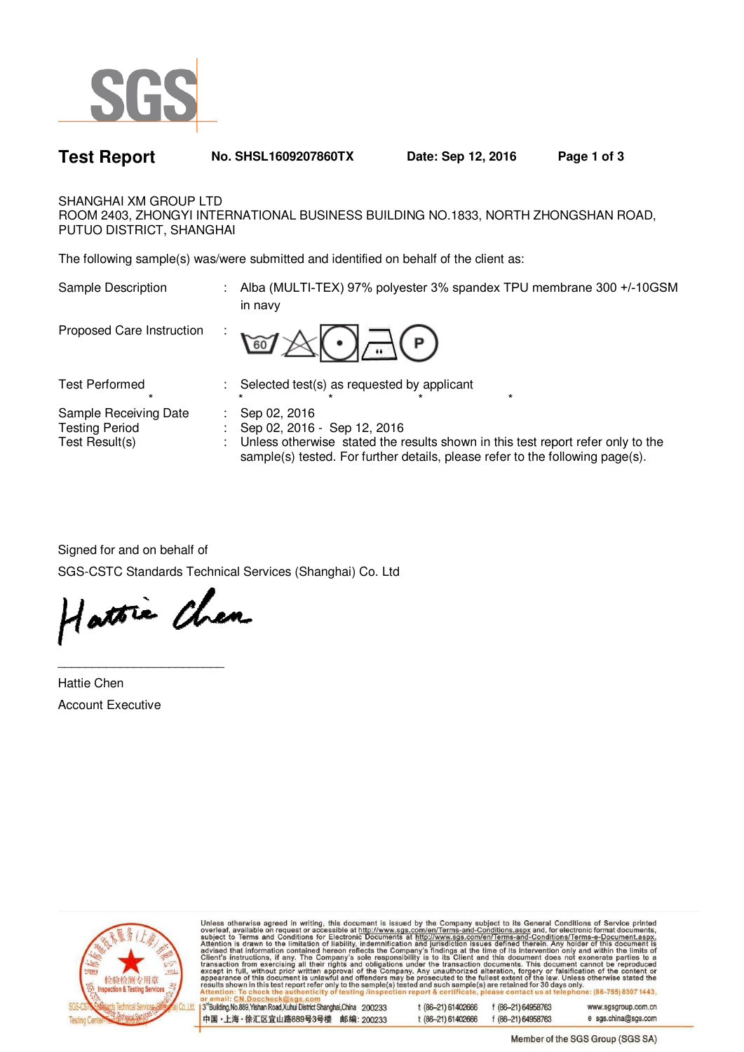

| <b>Test Report</b>                                | No. SHSL1609207860TX                                                                  | Date: Sep 12, 2016                                                                | Page 1 of 3 |
|---------------------------------------------------|---------------------------------------------------------------------------------------|-----------------------------------------------------------------------------------|-------------|
| SHANGHAI XM GROUP LTD<br>PUTUO DISTRICT, SHANGHAI |                                                                                       | ROOM 2403, ZHONGYI INTERNATIONAL BUSINESS BUILDING NO.1833, NORTH ZHONGSHAN ROAD, |             |
|                                                   | The following sample(s) was/were submitted and identified on behalf of the client as: |                                                                                   |             |
| Sample Description                                | in navy                                                                               | Alba (MULTI-TEX) 97% polyester 3% spandex TPU membrane 300 +/-10GSM               |             |
| Proposed Care Instruction                         | $\mathbb{E}$                                                                          |                                                                                   |             |
| <b>Test Performed</b><br>$\star$                  | : Selected test(s) as requested by applicant                                          | $\star$                                                                           |             |
| Sample Receiving Date                             | Sep 02, 2016                                                                          |                                                                                   |             |

Test Result(s) : Unless otherwise stated the results shown in this test report refer only to the

sample(s) tested. For further details, please refer to the following page(s).

Signed for and on behalf of

SGS-CSTC Standards Technical Services (Shanghai) Co. Ltd

Testing Period : Sep 02, 2016 - Sep 12, 2016

Hattie Chen

\_\_\_\_\_\_\_\_\_\_\_\_\_\_\_\_\_\_\_\_\_\_\_\_

Hattie Chen Account Executive



Unless otherwise agreed in writing, this document is issued by the Company subject to its General Conditions of Service printed<br>overleaf, available on request or accessible at http://www.sgs.com/en/Terms-and-Conditions.as il: CN.Doccheck@sgs.com

| 3°Building, No.889, Yishan Road, Xuhui District Shanghai, China 200233 | t (86–21) 61402666 | f (86-21) 64958763 | www.sgsgroup.com.cn |
|------------------------------------------------------------------------|--------------------|--------------------|---------------------|
| 中国・上海・徐汇区宜山路889号3号楼 邮编: 200233                                         | t (86–21) 61402666 | f (86-21) 64958763 | e sgs.china@sgs.com |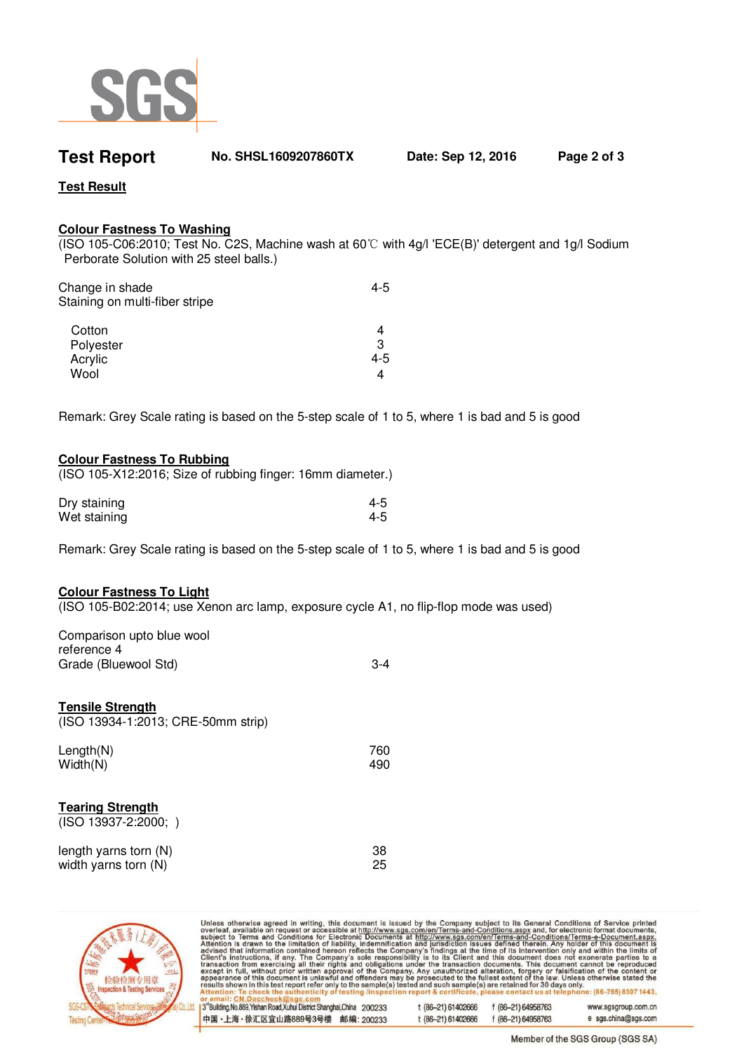

**Test Report No. SHSL1609207860TX Date: Sep 12, 2016 Page 2 of 3** 

**Test Result**

## **Colour Fastness To Washing**

(ISO 105-C06:2010; Test No. C2S, Machine wash at 60℃ with 4g/l 'ECE(B)' detergent and 1g/l Sodium Perborate Solution with 25 steel balls.)

| 4-5 |
|-----|
| 4   |
| 3   |
| 4-5 |
| 4   |
|     |

Remark: Grey Scale rating is based on the 5-step scale of 1 to 5, where 1 is bad and 5 is good

## **Colour Fastness To Rubbing**

(ISO 105-X12:2016; Size of rubbing finger: 16mm diameter.)

| Dry staining | 4-5 |
|--------------|-----|
| Wet staining | 4-5 |

Remark: Grey Scale rating is based on the 5-step scale of 1 to 5, where 1 is bad and 5 is good

## **Colour Fastness To Light**

(ISO 105-B02:2014; use Xenon arc lamp, exposure cycle A1, no flip-flop mode was used)

| Comparison upto blue wool |       |
|---------------------------|-------|
| reference 4               |       |
| Grade (Bluewool Std)      | $3-4$ |

### **Tensile Strength**

(ISO 13934-1:2013; CRE-50mm strip)

| Length $(N)$ | 760 |
|--------------|-----|
| Width(N)     | 490 |

## **Tearing Strength**

(ISO 13937-2:2000; )

| length yarns torn (N) | 38 |
|-----------------------|----|
| width yarns torn (N)  | 25 |



Unless otherwise agreed in writing, this document is issued by the Company subject to its General Conditions of Service printed overleaf, available on request or accessible at http://www.sgs.com/en/Terms-and-Conditions.as

| 3°Building, No.889, Yishan Road, Xuhui District Shanghai,China 200233 | t (86-21) 61402666 | f (86-21) 64958763 | www.sgsgroup.com.cn |
|-----------------------------------------------------------------------|--------------------|--------------------|---------------------|
| 中国・上海・徐汇区宜山路889号3号楼 邮编: 200233                                        | t (86-21) 61402666 | f (86-21) 64958763 | e sgs.china@sgs.com |